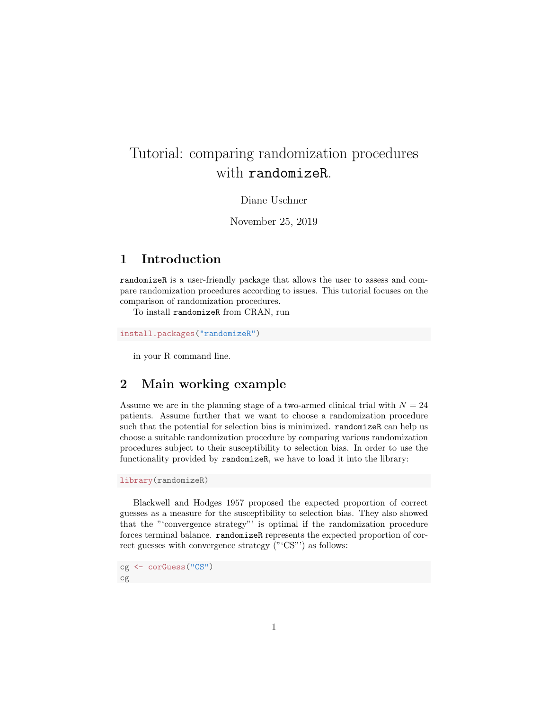# Tutorial: comparing randomization procedures with randomizeR.

Diane Uschner

November 25, 2019

# 1 Introduction

randomizeR is a user-friendly package that allows the user to assess and compare randomization procedures according to issues. This tutorial focuses on the comparison of randomization procedures.

To install randomizeR from CRAN, run

install.packages("randomizeR")

in your R command line.

# 2 Main working example

Assume we are in the planning stage of a two-armed clinical trial with  $N = 24$ patients. Assume further that we want to choose a randomization procedure such that the potential for selection bias is minimized. randomizeR can help us choose a suitable randomization procedure by comparing various randomization procedures subject to their susceptibility to selection bias. In order to use the functionality provided by randomizeR, we have to load it into the library:

library(randomizeR)

Blackwell and Hodges 1957 proposed the expected proportion of correct guesses as a measure for the susceptibility to selection bias. They also showed that the "'convergence strategy"' is optimal if the randomization procedure forces terminal balance. randomizeR represents the expected proportion of correct guesses with convergence strategy ("'CS"') as follows:

cg <- corGuess("CS") cg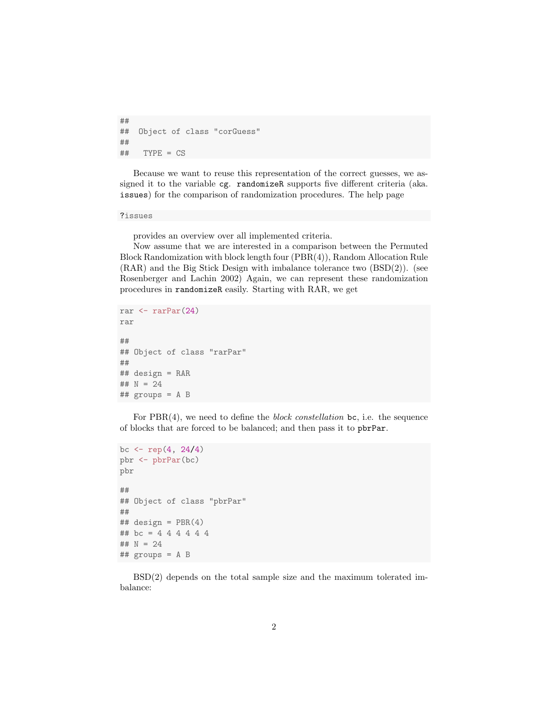```
##
## Object of class "corGuess"
##
## TYPE = CS
```
Because we want to reuse this representation of the correct guesses, we assigned it to the variable cg. randomizeR supports five different criteria (aka. issues) for the comparison of randomization procedures. The help page

### ?issues

provides an overview over all implemented criteria.

Now assume that we are interested in a comparison between the Permuted Block Randomization with block length four (PBR(4)), Random Allocation Rule (RAR) and the Big Stick Design with imbalance tolerance two (BSD(2)). (see Rosenberger and Lachin 2002) Again, we can represent these randomization procedures in randomizeR easily. Starting with RAR, we get

```
rar \leftarrow rarPar(24)rar
##
## Object of class "rarPar"
##
## design = RAR
## N = 24## groups = A B
```
For  $PBR(4)$ , we need to define the *block constellation* bc, i.e. the sequence of blocks that are forced to be balanced; and then pass it to pbrPar.

```
bc \leftarrow rep(4, 24/4)
pbr <- pbrPar(bc)
pbr
##
## Object of class "pbrPar"
##
## design = PBR(4)## bc = 4 4 4 4 4 4
## N = 24
## groups = A B
```
BSD(2) depends on the total sample size and the maximum tolerated imbalance: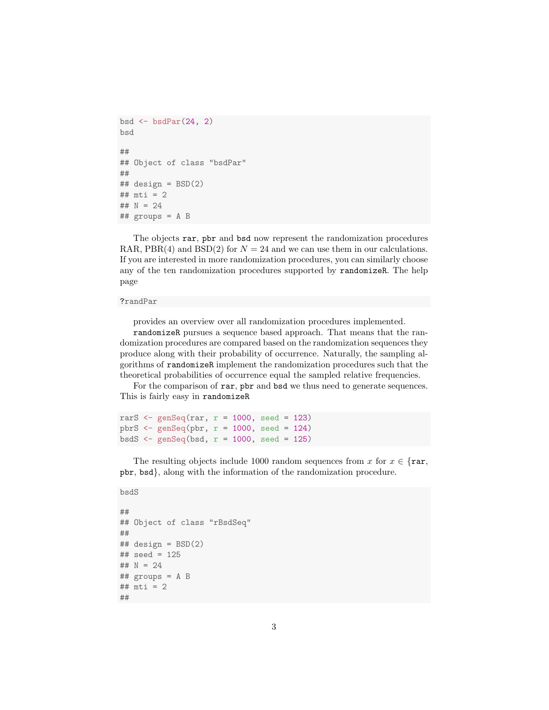```
bsd \leftarrow bsdPar(24, 2)bsd
##
## Object of class "bsdPar"
##
\## design = BSD(2)## mti = 2## N = 24## groups = A B
```
The objects rar, pbr and bsd now represent the randomization procedures RAR, PBR(4) and BSD(2) for  $N = 24$  and we can use them in our calculations. If you are interested in more randomization procedures, you can similarly choose any of the ten randomization procedures supported by randomizeR. The help page

### ?randPar

provides an overview over all randomization procedures implemented.

randomizeR pursues a sequence based approach. That means that the randomization procedures are compared based on the randomization sequences they produce along with their probability of occurrence. Naturally, the sampling algorithms of randomizeR implement the randomization procedures such that the theoretical probabilities of occurrence equal the sampled relative frequencies.

For the comparison of rar, pbr and bsd we thus need to generate sequences. This is fairly easy in randomizeR

rarS  $\leq$  genSeq(rar,  $r = 1000$ , seed = 123) pbrS  $\leftarrow$  genSeq(pbr,  $r = 1000$ , seed = 124)  $bsdS \leftarrow genSeq(bsd, r = 1000, seed = 125)$ 

The resulting objects include 1000 random sequences from x for  $x \in \{ \text{rar}, \}$ pbr, bsd}, along with the information of the randomization procedure.

### bsdS

```
##
## Object of class "rBsdSeq"
##
## design = BSD(2)## seed = 125
## N = 24## groups = A B
## mti = 2
##
```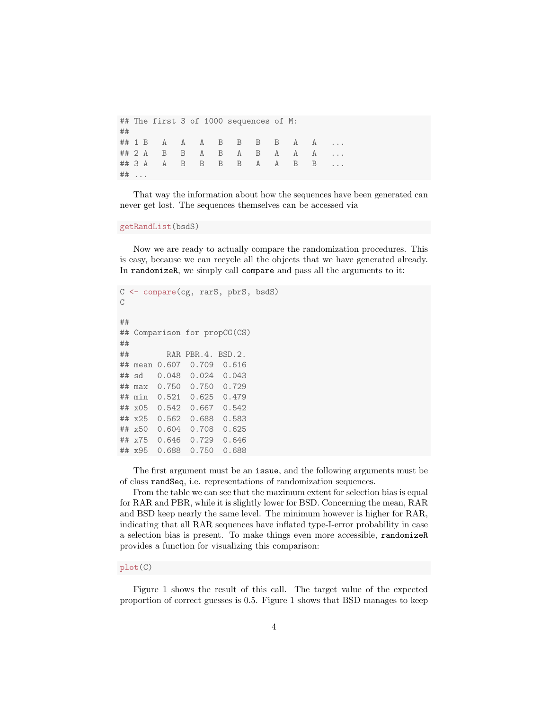## The first 3 of 1000 sequences of M: ## ## 1 B A A A B B B B A A ... ## 2 A B B A B A B A A A ... ## 3 A A B B B B A A B B ... ## ...

That way the information about how the sequences have been generated can never get lost. The sequences themselves can be accessed via

#### getRandList(bsdS)

Now we are ready to actually compare the randomization procedures. This is easy, because we can recycle all the objects that we have generated already. In randomizeR, we simply call compare and pass all the arguments to it:

```
C <- compare(cg, rarS, pbrS, bsdS)
C
##
## Comparison for propCG(CS)
##
## RAR PBR.4. BSD.2.
## mean 0.607 0.709 0.616
## sd 0.048 0.024 0.043
## max 0.750 0.750 0.729
## min 0.521 0.625 0.479
## x05 0.542 0.667 0.542
## x25 0.562 0.688 0.583
## x50 0.604 0.708 0.625
## x75 0.646 0.729 0.646
## x95 0.688 0.750 0.688
```
The first argument must be an issue, and the following arguments must be of class randSeq, i.e. representations of randomization sequences.

From the table we can see that the maximum extent for selection bias is equal for RAR and PBR, while it is slightly lower for BSD. Concerning the mean, RAR and BSD keep nearly the same level. The minimum however is higher for RAR, indicating that all RAR sequences have inflated type-I-error probability in case a selection bias is present. To make things even more accessible, randomizeR provides a function for visualizing this comparison:

### plot(C)

Figure 1 shows the result of this call. The target value of the expected proportion of correct guesses is 0.5. Figure 1 shows that BSD manages to keep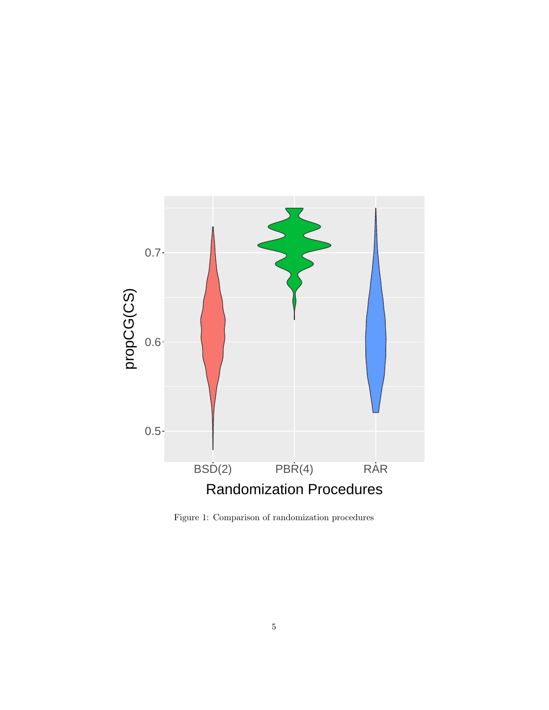

Figure 1: Comparison of randomization procedures